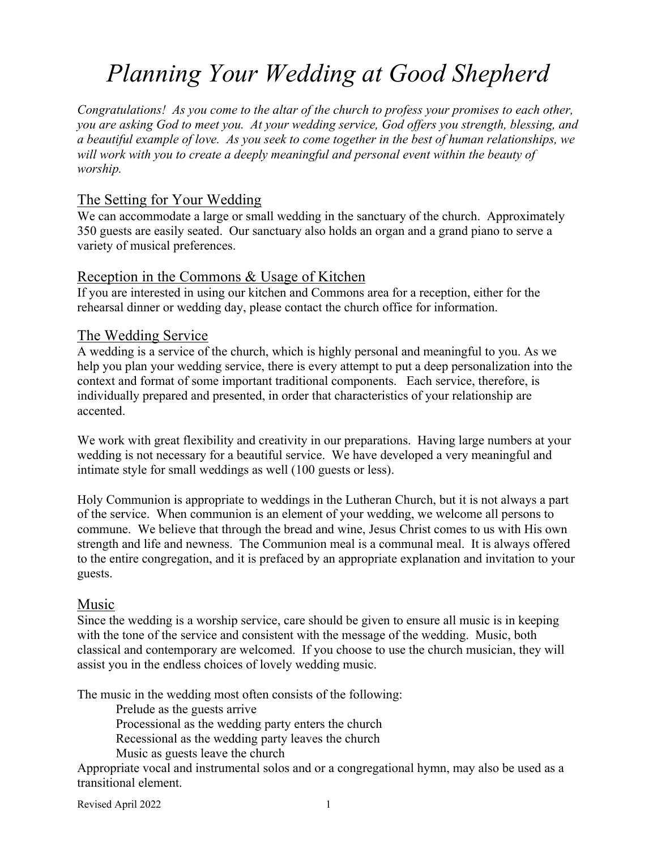# *Planning Your Wedding at Good Shepherd*

*Congratulations! As you come to the altar of the church to profess your promises to each other, you are asking God to meet you. At your wedding service, God offers you strength, blessing, and a beautiful example of love. As you seek to come together in the best of human relationships, we will work with you to create a deeply meaningful and personal event within the beauty of worship.*

## The Setting for Your Wedding

We can accommodate a large or small wedding in the sanctuary of the church. Approximately 350 guests are easily seated. Our sanctuary also holds an organ and a grand piano to serve a variety of musical preferences.

## Reception in the Commons & Usage of Kitchen

If you are interested in using our kitchen and Commons area for a reception, either for the rehearsal dinner or wedding day, please contact the church office for information.

#### The Wedding Service

A wedding is a service of the church, which is highly personal and meaningful to you. As we help you plan your wedding service, there is every attempt to put a deep personalization into the context and format of some important traditional components. Each service, therefore, is individually prepared and presented, in order that characteristics of your relationship are accented.

We work with great flexibility and creativity in our preparations. Having large numbers at your wedding is not necessary for a beautiful service. We have developed a very meaningful and intimate style for small weddings as well (100 guests or less).

Holy Communion is appropriate to weddings in the Lutheran Church, but it is not always a part of the service. When communion is an element of your wedding, we welcome all persons to commune. We believe that through the bread and wine, Jesus Christ comes to us with His own strength and life and newness. The Communion meal is a communal meal. It is always offered to the entire congregation, and it is prefaced by an appropriate explanation and invitation to your guests.

#### Music

Since the wedding is a worship service, care should be given to ensure all music is in keeping with the tone of the service and consistent with the message of the wedding. Music, both classical and contemporary are welcomed. If you choose to use the church musician, they will assist you in the endless choices of lovely wedding music.

The music in the wedding most often consists of the following:

Prelude as the guests arrive

Processional as the wedding party enters the church

- Recessional as the wedding party leaves the church
- Music as guests leave the church

Appropriate vocal and instrumental solos and or a congregational hymn, may also be used as a transitional element.

Revised April 2022 1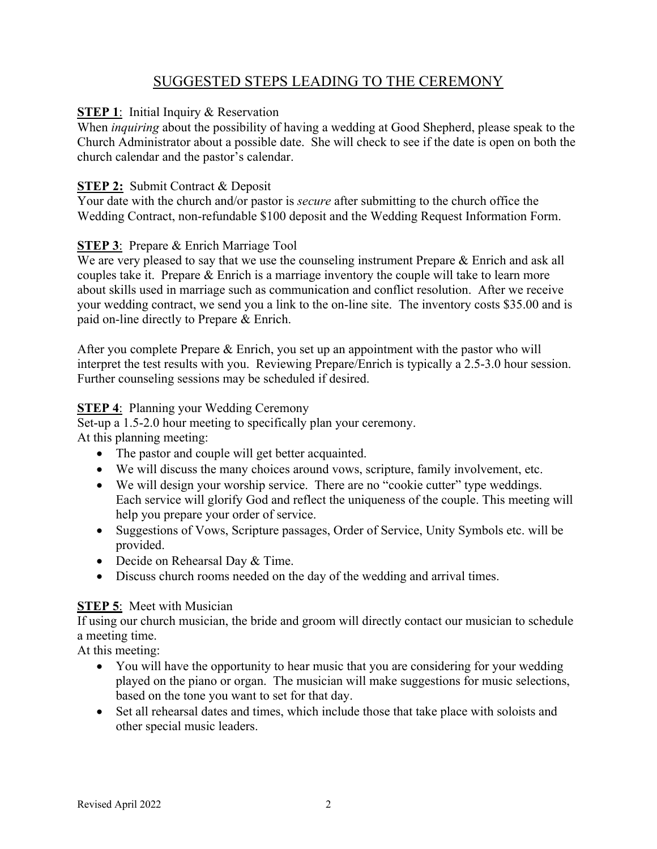# SUGGESTED STEPS LEADING TO THE CEREMONY

#### **STEP 1:** Initial Inquiry & Reservation

When *inquiring* about the possibility of having a wedding at Good Shepherd, please speak to the Church Administrator about a possible date. She will check to see if the date is open on both the church calendar and the pastor's calendar.

#### **STEP 2:** Submit Contract & Deposit

Your date with the church and/or pastor is *secure* after submitting to the church office the Wedding Contract, non-refundable \$100 deposit and the Wedding Request Information Form.

#### **STEP 3**: Prepare & Enrich Marriage Tool

We are very pleased to say that we use the counseling instrument Prepare & Enrich and ask all couples take it. Prepare & Enrich is a marriage inventory the couple will take to learn more about skills used in marriage such as communication and conflict resolution. After we receive your wedding contract, we send you a link to the on-line site. The inventory costs \$35.00 and is paid on-line directly to Prepare & Enrich.

After you complete Prepare & Enrich, you set up an appointment with the pastor who will interpret the test results with you. Reviewing Prepare/Enrich is typically a 2.5-3.0 hour session. Further counseling sessions may be scheduled if desired.

#### **STEP 4: Planning your Wedding Ceremony**

Set-up a 1.5-2.0 hour meeting to specifically plan your ceremony. At this planning meeting:

- The pastor and couple will get better acquainted.
- We will discuss the many choices around vows, scripture, family involvement, etc.
- We will design your worship service. There are no "cookie cutter" type weddings. Each service will glorify God and reflect the uniqueness of the couple. This meeting will help you prepare your order of service.
- Suggestions of Vows, Scripture passages, Order of Service, Unity Symbols etc. will be provided.
- Decide on Rehearsal Day & Time.
- Discuss church rooms needed on the day of the wedding and arrival times.

#### **STEP 5:** Meet with Musician

If using our church musician, the bride and groom will directly contact our musician to schedule a meeting time.

At this meeting:

- You will have the opportunity to hear music that you are considering for your wedding played on the piano or organ. The musician will make suggestions for music selections, based on the tone you want to set for that day.
- Set all rehearsal dates and times, which include those that take place with soloists and other special music leaders.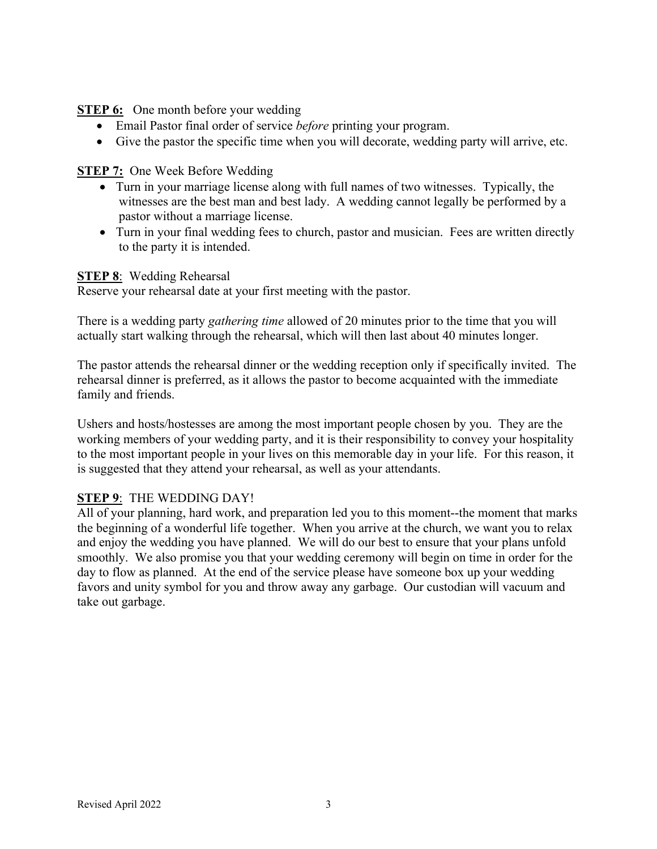#### **STEP 6:** One month before your wedding

- Email Pastor final order of service *before* printing your program.
- Give the pastor the specific time when you will decorate, wedding party will arrive, etc.

#### **STEP 7:** One Week Before Wedding

- Turn in your marriage license along with full names of two witnesses. Typically, the witnesses are the best man and best lady. A wedding cannot legally be performed by a pastor without a marriage license.
- Turn in your final wedding fees to church, pastor and musician. Fees are written directly to the party it is intended.

#### **STEP 8**: Wedding Rehearsal

Reserve your rehearsal date at your first meeting with the pastor.

There is a wedding party *gathering time* allowed of 20 minutes prior to the time that you will actually start walking through the rehearsal, which will then last about 40 minutes longer.

The pastor attends the rehearsal dinner or the wedding reception only if specifically invited. The rehearsal dinner is preferred, as it allows the pastor to become acquainted with the immediate family and friends.

Ushers and hosts/hostesses are among the most important people chosen by you. They are the working members of your wedding party, and it is their responsibility to convey your hospitality to the most important people in your lives on this memorable day in your life. For this reason, it is suggested that they attend your rehearsal, as well as your attendants.

#### **STEP 9**: THE WEDDING DAY!

All of your planning, hard work, and preparation led you to this moment--the moment that marks the beginning of a wonderful life together. When you arrive at the church, we want you to relax and enjoy the wedding you have planned. We will do our best to ensure that your plans unfold smoothly. We also promise you that your wedding ceremony will begin on time in order for the day to flow as planned. At the end of the service please have someone box up your wedding favors and unity symbol for you and throw away any garbage. Our custodian will vacuum and take out garbage.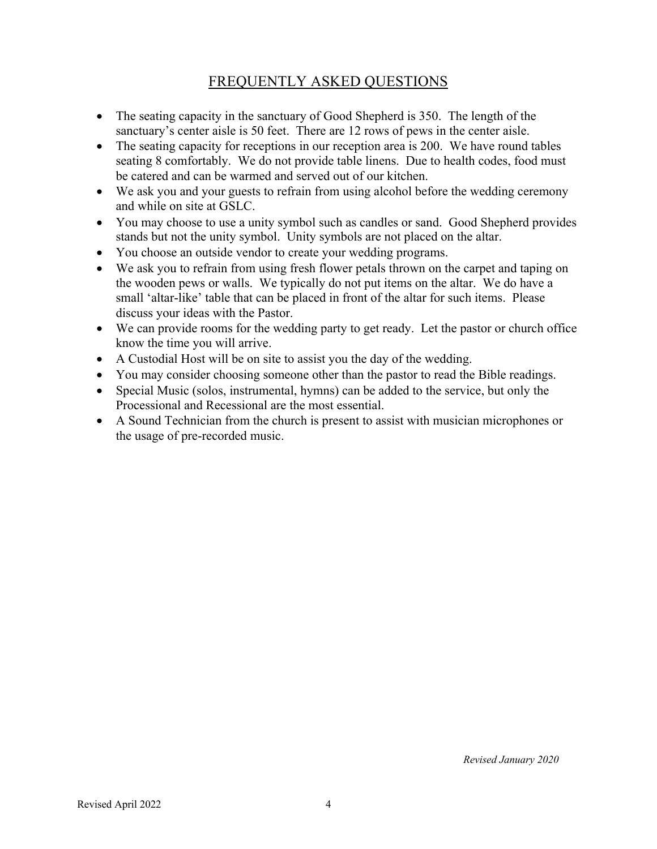# FREQUENTLY ASKED QUESTIONS

- The seating capacity in the sanctuary of Good Shepherd is 350. The length of the sanctuary's center aisle is 50 feet. There are 12 rows of pews in the center aisle.
- The seating capacity for receptions in our reception area is 200. We have round tables seating 8 comfortably. We do not provide table linens. Due to health codes, food must be catered and can be warmed and served out of our kitchen.
- We ask you and your guests to refrain from using alcohol before the wedding ceremony and while on site at GSLC.
- You may choose to use a unity symbol such as candles or sand. Good Shepherd provides stands but not the unity symbol. Unity symbols are not placed on the altar.
- You choose an outside vendor to create your wedding programs.
- We ask you to refrain from using fresh flower petals thrown on the carpet and taping on the wooden pews or walls. We typically do not put items on the altar. We do have a small 'altar-like' table that can be placed in front of the altar for such items. Please discuss your ideas with the Pastor.
- We can provide rooms for the wedding party to get ready. Let the pastor or church office know the time you will arrive.
- A Custodial Host will be on site to assist you the day of the wedding.
- You may consider choosing someone other than the pastor to read the Bible readings.
- Special Music (solos, instrumental, hymns) can be added to the service, but only the Processional and Recessional are the most essential.
- A Sound Technician from the church is present to assist with musician microphones or the usage of pre-recorded music.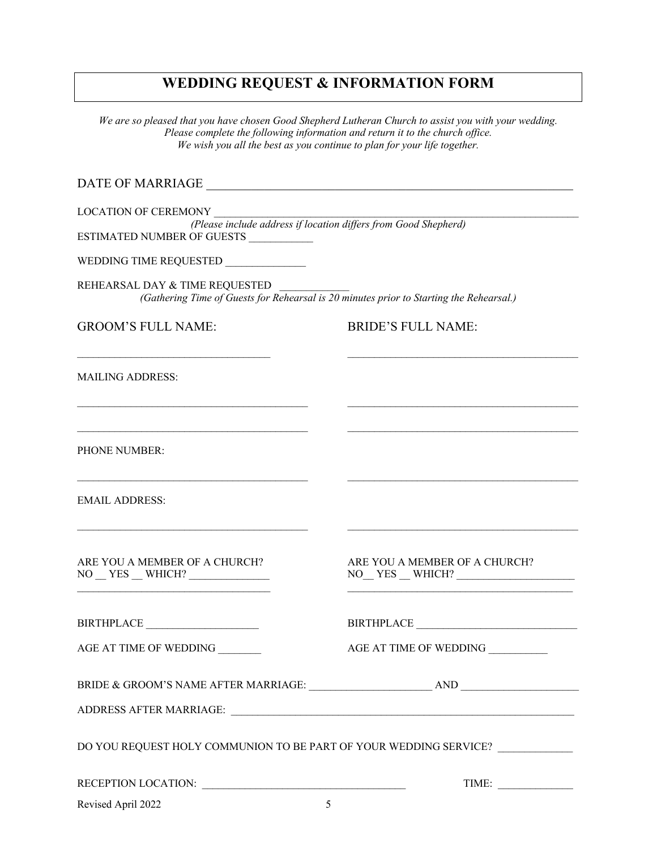## **WEDDING REQUEST & INFORMATION FORM**

*We are so pleased that you have chosen Good Shepherd Lutheran Church to assist you with your wedding. Please complete the following information and return it to the church office. We wish you all the best as you continue to plan for your life together.*

DATE OF MARRIAGE \_\_\_\_\_\_\_\_\_\_\_\_\_\_\_\_\_\_\_\_\_\_\_\_\_\_\_\_\_\_\_\_\_\_\_\_\_\_\_\_\_\_\_\_\_\_\_\_\_\_\_\_\_\_\_\_\_

LOCATION OF CEREMONY

*(Please include address if location differs from Good Shepherd)* ESTIMATED NUMBER OF GUESTS \_\_\_\_\_\_\_\_\_\_\_\_

WEDDING TIME REQUESTED

REHEARSAL DAY & TIME REQUESTED *(Gathering Time of Guests for Rehearsal is 20 minutes prior to Starting the Rehearsal.)*

 $\mathcal{L}_\mathcal{L} = \{ \mathcal{L}_\mathcal{L} = \{ \mathcal{L}_\mathcal{L} = \{ \mathcal{L}_\mathcal{L} = \{ \mathcal{L}_\mathcal{L} = \{ \mathcal{L}_\mathcal{L} = \{ \mathcal{L}_\mathcal{L} = \{ \mathcal{L}_\mathcal{L} = \{ \mathcal{L}_\mathcal{L} = \{ \mathcal{L}_\mathcal{L} = \{ \mathcal{L}_\mathcal{L} = \{ \mathcal{L}_\mathcal{L} = \{ \mathcal{L}_\mathcal{L} = \{ \mathcal{L}_\mathcal{L} = \{ \mathcal{L}_\mathcal{$ 

 $\mathcal{L}_\text{max}$ 

GROOM'S FULL NAME: BRIDE'S FULL NAME:

MAILING ADDRESS:

PHONE NUMBER:

EMAIL ADDRESS:

ARE YOU A MEMBER OF A CHURCH?<br>NO YES WHICH? NO YES WHICH? NO YES WHICH?  $\mathcal{L}_\mathcal{L} = \mathcal{L}_\mathcal{L} = \mathcal{L}_\mathcal{L} = \mathcal{L}_\mathcal{L} = \mathcal{L}_\mathcal{L} = \mathcal{L}_\mathcal{L} = \mathcal{L}_\mathcal{L} = \mathcal{L}_\mathcal{L} = \mathcal{L}_\mathcal{L} = \mathcal{L}_\mathcal{L} = \mathcal{L}_\mathcal{L} = \mathcal{L}_\mathcal{L} = \mathcal{L}_\mathcal{L} = \mathcal{L}_\mathcal{L} = \mathcal{L}_\mathcal{L} = \mathcal{L}_\mathcal{L} = \mathcal{L}_\mathcal{L}$ 

BIRTHPLACE BIRTHPLACE **BIRTH** 

AGE AT TIME OF WEDDING \_\_\_\_\_\_\_\_ AGE AT TIME OF WEDDING \_\_\_\_\_\_\_\_\_\_\_

BRIDE & GROOM'S NAME AFTER MARRIAGE: \_\_\_\_\_\_\_\_\_\_\_\_\_\_\_\_\_\_\_\_\_\_\_ AND \_\_\_\_\_\_\_\_\_\_\_\_\_\_\_\_\_\_\_\_\_\_

ADDRESS AFTER MARRIAGE:

DO YOU REQUEST HOLY COMMUNION TO BE PART OF YOUR WEDDING SERVICE?

RECEPTION LOCATION: \_\_\_\_\_\_\_\_\_\_\_\_\_\_\_\_\_\_\_\_\_\_\_\_\_\_\_\_\_\_\_\_\_\_\_\_\_\_ TIME: \_\_\_\_\_\_\_\_\_\_\_\_\_\_

Revised April 2022 5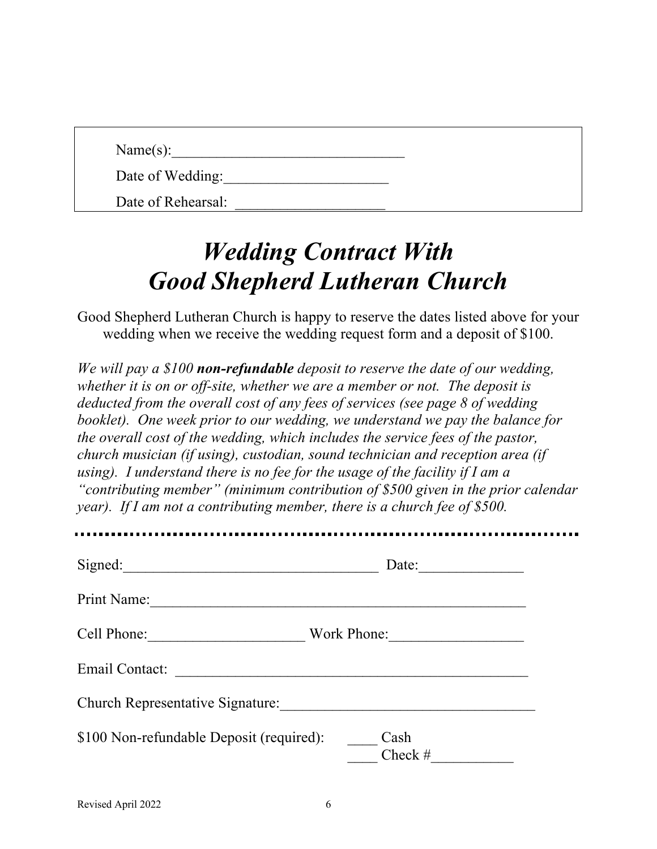$Name(s):$ 

Date of Wedding:

Date of Rehearsal:

# *Wedding Contract With Good Shepherd Lutheran Church*

Good Shepherd Lutheran Church is happy to reserve the dates listed above for your wedding when we receive the wedding request form and a deposit of \$100.

*We will pay a \$100 non-refundable deposit to reserve the date of our wedding, whether it is on or off-site, whether we are a member or not. The deposit is deducted from the overall cost of any fees of services (see page 8 of wedding booklet). One week prior to our wedding, we understand we pay the balance for the overall cost of the wedding, which includes the service fees of the pastor, church musician (if using), custodian, sound technician and reception area (if using). I understand there is no fee for the usage of the facility if I am a "contributing member" (minimum contribution of \$500 given in the prior calendar year*). If I am not a contributing member, there is a church fee of \$500.

| Signed:<br><u> 1980 - John Stone, Amerikaansk politiker (</u> † 1915) | Date:             |
|-----------------------------------------------------------------------|-------------------|
| Print Name:                                                           |                   |
| Cell Phone:                                                           | Work Phone:       |
| Email Contact:                                                        |                   |
| <b>Church Representative Signature:</b>                               |                   |
| \$100 Non-refundable Deposit (required):                              | Cash<br>Check $#$ |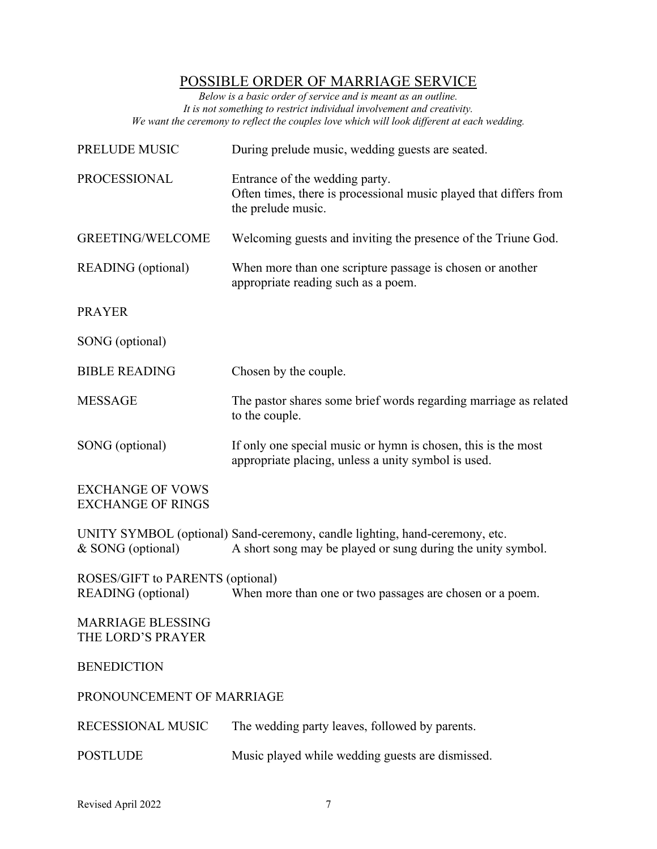# POSSIBLE ORDER OF MARRIAGE SERVICE

*Below is a basic order of service and is meant as an outline. It is not something to restrict individual involvement and creativity. We want the ceremony to reflect the couples love which will look different at each wedding.* 

| PRELUDE MUSIC                                                 | During prelude music, wedding guests are seated.                                                                                           |
|---------------------------------------------------------------|--------------------------------------------------------------------------------------------------------------------------------------------|
| PROCESSIONAL                                                  | Entrance of the wedding party.<br>Often times, there is processional music played that differs from<br>the prelude music.                  |
| <b>GREETING/WELCOME</b>                                       | Welcoming guests and inviting the presence of the Triune God.                                                                              |
| <b>READING</b> (optional)                                     | When more than one scripture passage is chosen or another<br>appropriate reading such as a poem.                                           |
| <b>PRAYER</b>                                                 |                                                                                                                                            |
| SONG (optional)                                               |                                                                                                                                            |
| <b>BIBLE READING</b>                                          | Chosen by the couple.                                                                                                                      |
| <b>MESSAGE</b>                                                | The pastor shares some brief words regarding marriage as related<br>to the couple.                                                         |
| SONG (optional)                                               | If only one special music or hymn is chosen, this is the most<br>appropriate placing, unless a unity symbol is used.                       |
| <b>EXCHANGE OF VOWS</b><br><b>EXCHANGE OF RINGS</b>           |                                                                                                                                            |
| & SONG (optional)                                             | UNITY SYMBOL (optional) Sand-ceremony, candle lighting, hand-ceremony, etc.<br>A short song may be played or sung during the unity symbol. |
| ROSES/GIFT to PARENTS (optional)<br><b>READING</b> (optional) | When more than one or two passages are chosen or a poem.                                                                                   |
| <b>MARRIAGE BLESSING</b><br>THE LORD'S PRAYER                 |                                                                                                                                            |
| <b>BENEDICTION</b>                                            |                                                                                                                                            |
| PRONOUNCEMENT OF MARRIAGE                                     |                                                                                                                                            |
| RECESSIONAL MUSIC                                             | The wedding party leaves, followed by parents.                                                                                             |
| <b>POSTLUDE</b>                                               | Music played while wedding guests are dismissed.                                                                                           |